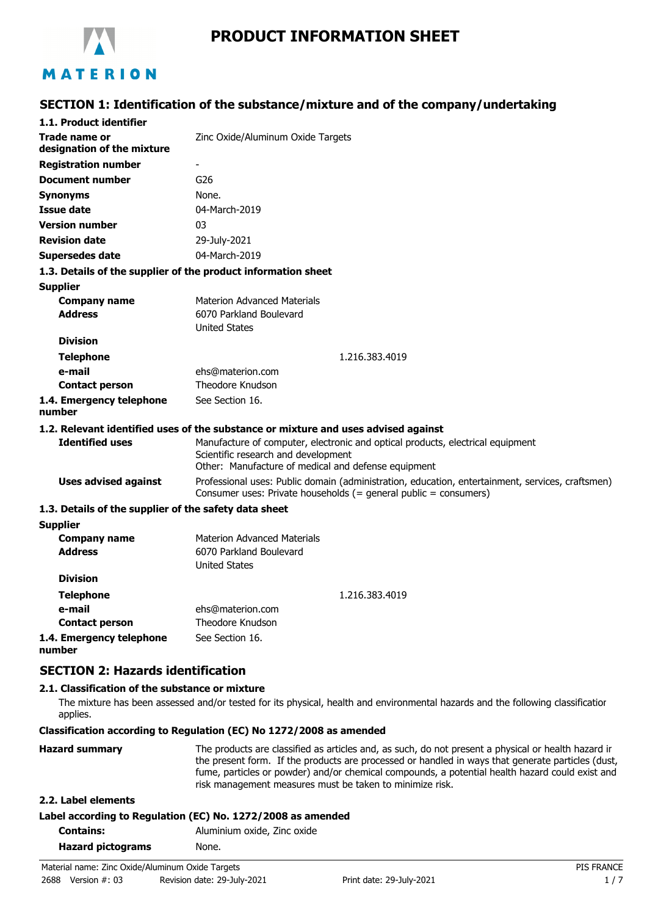

# **PRODUCT INFORMATION SHEET**

# **SECTION 1: Identification of the substance/mixture and of the company/undertaking**

| 1.1. Product identifier                               |                                                                                                                                                                              |  |  |
|-------------------------------------------------------|------------------------------------------------------------------------------------------------------------------------------------------------------------------------------|--|--|
| Trade name or<br>designation of the mixture           | Zinc Oxide/Aluminum Oxide Targets                                                                                                                                            |  |  |
| <b>Registration number</b>                            | $\overline{\phantom{a}}$                                                                                                                                                     |  |  |
| <b>Document number</b>                                | G <sub>26</sub>                                                                                                                                                              |  |  |
| <b>Synonyms</b>                                       | None.                                                                                                                                                                        |  |  |
| Issue date                                            | 04-March-2019                                                                                                                                                                |  |  |
| <b>Version number</b>                                 | 03                                                                                                                                                                           |  |  |
| <b>Revision date</b>                                  | 29-July-2021                                                                                                                                                                 |  |  |
| <b>Supersedes date</b>                                | 04-March-2019                                                                                                                                                                |  |  |
|                                                       | 1.3. Details of the supplier of the product information sheet                                                                                                                |  |  |
| <b>Supplier</b>                                       |                                                                                                                                                                              |  |  |
| <b>Company name</b>                                   | <b>Materion Advanced Materials</b>                                                                                                                                           |  |  |
| <b>Address</b>                                        | 6070 Parkland Boulevard                                                                                                                                                      |  |  |
|                                                       | <b>United States</b>                                                                                                                                                         |  |  |
| <b>Division</b>                                       |                                                                                                                                                                              |  |  |
| <b>Telephone</b>                                      | 1.216.383.4019                                                                                                                                                               |  |  |
| e-mail                                                | ehs@materion.com                                                                                                                                                             |  |  |
| <b>Contact person</b>                                 | Theodore Knudson                                                                                                                                                             |  |  |
| 1.4. Emergency telephone<br>number                    | See Section 16.                                                                                                                                                              |  |  |
|                                                       | 1.2. Relevant identified uses of the substance or mixture and uses advised against                                                                                           |  |  |
| <b>Identified uses</b>                                | Manufacture of computer, electronic and optical products, electrical equipment<br>Scientific research and development<br>Other: Manufacture of medical and defense equipment |  |  |
| <b>Uses advised against</b>                           | Professional uses: Public domain (administration, education, entertainment, services, craftsmen)<br>Consumer uses: Private households (= general public = consumers)         |  |  |
| 1.3. Details of the supplier of the safety data sheet |                                                                                                                                                                              |  |  |
| <b>Supplier</b>                                       |                                                                                                                                                                              |  |  |
| <b>Company name</b>                                   | <b>Materion Advanced Materials</b>                                                                                                                                           |  |  |
| <b>Address</b>                                        | 6070 Parkland Boulevard<br><b>United States</b>                                                                                                                              |  |  |
| <b>Division</b>                                       |                                                                                                                                                                              |  |  |
| <b>Telephone</b>                                      | 1.216.383.4019                                                                                                                                                               |  |  |
| e-mail                                                | ehs@materion.com                                                                                                                                                             |  |  |
| <b>Contact person</b>                                 | Theodore Knudson                                                                                                                                                             |  |  |
| 1.4. Emergency telephone                              | See Section 16.                                                                                                                                                              |  |  |

**1.4. Emergency telephone number**

# **SECTION 2: Hazards identification**

#### **2.1. Classification of the substance or mixture**

The mixture has been assessed and/or tested for its physical, health and environmental hazards and the following classification applies.

**Classification according to Regulation (EC) No 1272/2008 as amended**

| <b>Hazard summary</b> | The products are classified as articles and, as such, do not present a physical or health hazard ir<br>the present form. If the products are processed or handled in ways that generate particles (dust,<br>fume, particles or powder) and/or chemical compounds, a potential health hazard could exist and |
|-----------------------|-------------------------------------------------------------------------------------------------------------------------------------------------------------------------------------------------------------------------------------------------------------------------------------------------------------|
|                       | risk management measures must be taken to minimize risk.                                                                                                                                                                                                                                                    |
|                       |                                                                                                                                                                                                                                                                                                             |

**2.2. Label elements**

#### **Label according to Regulation (EC) No. 1272/2008 as amended**

| <b>Contains:</b>         | Aluminium oxide, Zinc oxide |
|--------------------------|-----------------------------|
| <b>Hazard pictograms</b> | None.                       |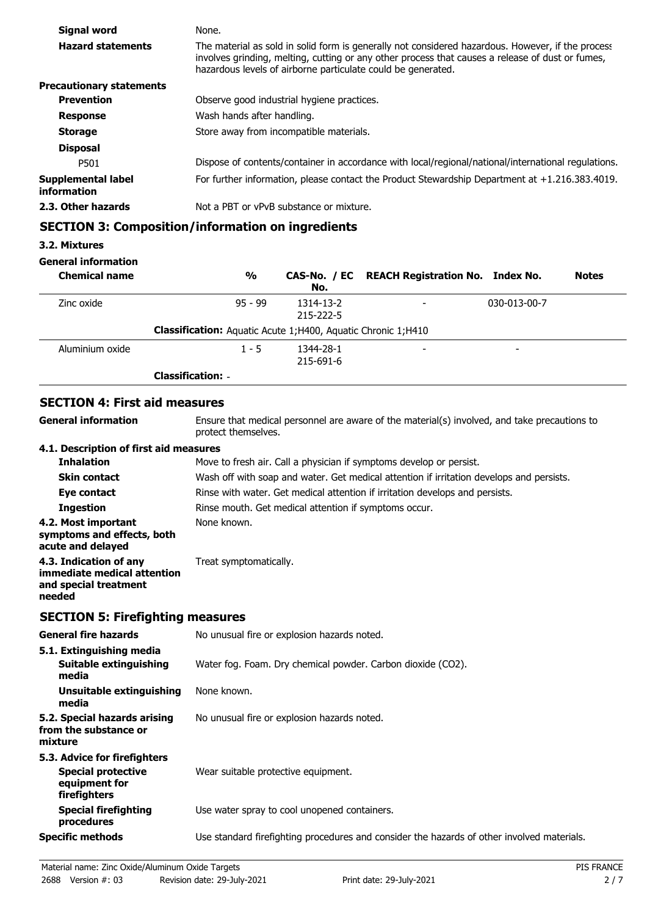| Signal word                              | None.                                                                                                                                                                                                                                                                 |  |
|------------------------------------------|-----------------------------------------------------------------------------------------------------------------------------------------------------------------------------------------------------------------------------------------------------------------------|--|
| <b>Hazard statements</b>                 | The material as sold in solid form is generally not considered hazardous. However, if the process<br>involves grinding, melting, cutting or any other process that causes a release of dust or fumes,<br>hazardous levels of airborne particulate could be generated. |  |
| <b>Precautionary statements</b>          |                                                                                                                                                                                                                                                                       |  |
| <b>Prevention</b>                        | Observe good industrial hygiene practices.                                                                                                                                                                                                                            |  |
| <b>Response</b>                          | Wash hands after handling.                                                                                                                                                                                                                                            |  |
| <b>Storage</b>                           | Store away from incompatible materials.                                                                                                                                                                                                                               |  |
| <b>Disposal</b>                          |                                                                                                                                                                                                                                                                       |  |
| P501                                     | Dispose of contents/container in accordance with local/regional/national/international regulations.                                                                                                                                                                   |  |
| <b>Supplemental label</b><br>information | For further information, please contact the Product Stewardship Department at $+1.216.383.4019$ .                                                                                                                                                                     |  |
| 2.3. Other hazards                       | Not a PBT or vPvB substance or mixture.                                                                                                                                                                                                                               |  |
|                                          |                                                                                                                                                                                                                                                                       |  |

# **SECTION 3: Composition/information on ingredients**

# **3.2. Mixtures**

#### **General information**

| <b>Chemical name</b> | $\frac{1}{2}$                                                         | No.                    | CAS-No. / EC REACH Registration No. Index No. |                          | <b>Notes</b> |
|----------------------|-----------------------------------------------------------------------|------------------------|-----------------------------------------------|--------------------------|--------------|
| Zinc oxide           | $95 - 99$                                                             | 1314-13-2<br>215-222-5 | -                                             | 030-013-00-7             |              |
|                      | <b>Classification:</b> Aquatic Acute 1; H400, Aquatic Chronic 1; H410 |                        |                                               |                          |              |
| Aluminium oxide      | $1 - 5$                                                               | 1344-28-1<br>215-691-6 | -                                             | $\overline{\phantom{0}}$ |              |
|                      | <b>Classification: -</b>                                              |                        |                                               |                          |              |

# **SECTION 4: First aid measures**

| <b>General information</b>                                                                 | Ensure that medical personnel are aware of the material(s) involved, and take precautions to<br>protect themselves. |  |  |
|--------------------------------------------------------------------------------------------|---------------------------------------------------------------------------------------------------------------------|--|--|
| 4.1. Description of first aid measures                                                     |                                                                                                                     |  |  |
| <b>Inhalation</b>                                                                          | Move to fresh air. Call a physician if symptoms develop or persist.                                                 |  |  |
| <b>Skin contact</b>                                                                        | Wash off with soap and water. Get medical attention if irritation develops and persists.                            |  |  |
| Eye contact                                                                                | Rinse with water. Get medical attention if irritation develops and persists.                                        |  |  |
| <b>Ingestion</b>                                                                           | Rinse mouth. Get medical attention if symptoms occur.                                                               |  |  |
| 4.2. Most important<br>symptoms and effects, both<br>acute and delayed                     | None known.                                                                                                         |  |  |
| 4.3. Indication of any<br>immediate medical attention<br>and special treatment<br>needed   | Treat symptomatically.                                                                                              |  |  |
| <b>SECTION 5: Firefighting measures</b>                                                    |                                                                                                                     |  |  |
| <b>General fire hazards</b>                                                                | No unusual fire or explosion hazards noted.                                                                         |  |  |
| 5.1. Extinguishing media                                                                   |                                                                                                                     |  |  |
| Suitable extinguishing<br>media                                                            | Water fog. Foam. Dry chemical powder. Carbon dioxide (CO2).                                                         |  |  |
| <b>Unsuitable extinguishing</b><br>media                                                   | None known.                                                                                                         |  |  |
| 5.2. Special hazards arising<br>from the substance or<br>mixture                           | No unusual fire or explosion hazards noted.                                                                         |  |  |
| 5.3. Advice for firefighters<br><b>Special protective</b><br>equipment for<br>firefighters | Wear suitable protective equipment.                                                                                 |  |  |
| <b>Special firefighting</b><br>procedures                                                  | Use water spray to cool unopened containers.                                                                        |  |  |
| <b>Specific methods</b>                                                                    | Use standard firefighting procedures and consider the hazards of other involved materials.                          |  |  |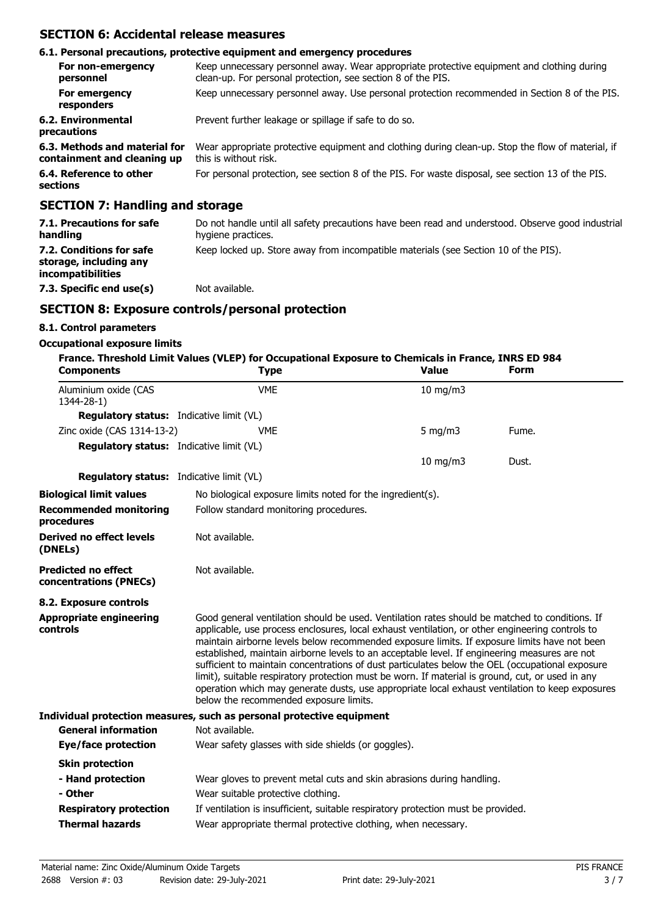# **SECTION 6: Accidental release measures**

|                                                              | 6.1. Personal precautions, protective equipment and emergency procedures                                                                                   |
|--------------------------------------------------------------|------------------------------------------------------------------------------------------------------------------------------------------------------------|
| For non-emergency<br>personnel                               | Keep unnecessary personnel away. Wear appropriate protective equipment and clothing during<br>clean-up. For personal protection, see section 8 of the PIS. |
| For emergency<br>responders                                  | Keep unnecessary personnel away. Use personal protection recommended in Section 8 of the PIS.                                                              |
| 6.2. Environmental<br>precautions                            | Prevent further leakage or spillage if safe to do so.                                                                                                      |
| 6.3. Methods and material for<br>containment and cleaning up | Wear appropriate protective equipment and clothing during clean-up. Stop the flow of material, if<br>this is without risk.                                 |
| 6.4. Reference to other<br>sections                          | For personal protection, see section 8 of the PIS. For waste disposal, see section 13 of the PIS.                                                          |
| <b>SECTION 7: Handling and storage</b>                       |                                                                                                                                                            |

| 7.1. Precautions for safe<br>handling                                          | Do not handle until all safety precautions have been read and understood. Observe good industrial<br>hygiene practices. |
|--------------------------------------------------------------------------------|-------------------------------------------------------------------------------------------------------------------------|
| 7.2. Conditions for safe<br>storage, including any<br><i>incompatibilities</i> | Keep locked up. Store away from incompatible materials (see Section 10 of the PIS).                                     |
| 7.3. Specific end use(s)                                                       | Not available.                                                                                                          |

# **SECTION 8: Exposure controls/personal protection**

## **8.1. Control parameters**

#### **Occupational exposure limits**

| <b>Components</b>                                    | France. Threshold Limit Values (VLEP) for Occupational Exposure to Chemicals in France, INRS ED 984<br><b>Type</b>                                                                                                                                                                                                                                                                                                                                                                                                                                                                                                                                                                                                                                     | <b>Value</b>  | Form  |
|------------------------------------------------------|--------------------------------------------------------------------------------------------------------------------------------------------------------------------------------------------------------------------------------------------------------------------------------------------------------------------------------------------------------------------------------------------------------------------------------------------------------------------------------------------------------------------------------------------------------------------------------------------------------------------------------------------------------------------------------------------------------------------------------------------------------|---------------|-------|
| Aluminium oxide (CAS<br>1344-28-1)                   | <b>VME</b>                                                                                                                                                                                                                                                                                                                                                                                                                                                                                                                                                                                                                                                                                                                                             | $10$ mg/m $3$ |       |
| <b>Regulatory status:</b> Indicative limit (VL)      |                                                                                                                                                                                                                                                                                                                                                                                                                                                                                                                                                                                                                                                                                                                                                        |               |       |
| Zinc oxide (CAS 1314-13-2)                           | <b>VMF</b>                                                                                                                                                                                                                                                                                                                                                                                                                                                                                                                                                                                                                                                                                                                                             | 5 mg/m $3$    | Fume. |
| <b>Regulatory status:</b> Indicative limit (VL)      |                                                                                                                                                                                                                                                                                                                                                                                                                                                                                                                                                                                                                                                                                                                                                        |               |       |
|                                                      |                                                                                                                                                                                                                                                                                                                                                                                                                                                                                                                                                                                                                                                                                                                                                        | $10$ mg/m $3$ | Dust. |
| <b>Regulatory status:</b> Indicative limit (VL)      |                                                                                                                                                                                                                                                                                                                                                                                                                                                                                                                                                                                                                                                                                                                                                        |               |       |
| <b>Biological limit values</b>                       | No biological exposure limits noted for the ingredient(s).                                                                                                                                                                                                                                                                                                                                                                                                                                                                                                                                                                                                                                                                                             |               |       |
| <b>Recommended monitoring</b><br>procedures          | Follow standard monitoring procedures.                                                                                                                                                                                                                                                                                                                                                                                                                                                                                                                                                                                                                                                                                                                 |               |       |
| <b>Derived no effect levels</b><br>(DNELs)           | Not available.                                                                                                                                                                                                                                                                                                                                                                                                                                                                                                                                                                                                                                                                                                                                         |               |       |
| <b>Predicted no effect</b><br>concentrations (PNECs) | Not available.                                                                                                                                                                                                                                                                                                                                                                                                                                                                                                                                                                                                                                                                                                                                         |               |       |
| 8.2. Exposure controls                               |                                                                                                                                                                                                                                                                                                                                                                                                                                                                                                                                                                                                                                                                                                                                                        |               |       |
| <b>Appropriate engineering</b><br>controls           | Good general ventilation should be used. Ventilation rates should be matched to conditions. If<br>applicable, use process enclosures, local exhaust ventilation, or other engineering controls to<br>maintain airborne levels below recommended exposure limits. If exposure limits have not been<br>established, maintain airborne levels to an acceptable level. If engineering measures are not<br>sufficient to maintain concentrations of dust particulates below the OEL (occupational exposure<br>limit), suitable respiratory protection must be worn. If material is ground, cut, or used in any<br>operation which may generate dusts, use appropriate local exhaust ventilation to keep exposures<br>below the recommended exposure limits. |               |       |
| <b>General information</b>                           | Individual protection measures, such as personal protective equipment<br>Not available.                                                                                                                                                                                                                                                                                                                                                                                                                                                                                                                                                                                                                                                                |               |       |
| <b>Eye/face protection</b>                           | Wear safety glasses with side shields (or goggles).                                                                                                                                                                                                                                                                                                                                                                                                                                                                                                                                                                                                                                                                                                    |               |       |
| <b>Skin protection</b>                               |                                                                                                                                                                                                                                                                                                                                                                                                                                                                                                                                                                                                                                                                                                                                                        |               |       |
| - Hand protection                                    | Wear gloves to prevent metal cuts and skin abrasions during handling.                                                                                                                                                                                                                                                                                                                                                                                                                                                                                                                                                                                                                                                                                  |               |       |
| - Other                                              | Wear suitable protective clothing.                                                                                                                                                                                                                                                                                                                                                                                                                                                                                                                                                                                                                                                                                                                     |               |       |
| <b>Respiratory protection</b>                        | If ventilation is insufficient, suitable respiratory protection must be provided.                                                                                                                                                                                                                                                                                                                                                                                                                                                                                                                                                                                                                                                                      |               |       |
| <b>Thermal hazards</b>                               | Wear appropriate thermal protective clothing, when necessary.                                                                                                                                                                                                                                                                                                                                                                                                                                                                                                                                                                                                                                                                                          |               |       |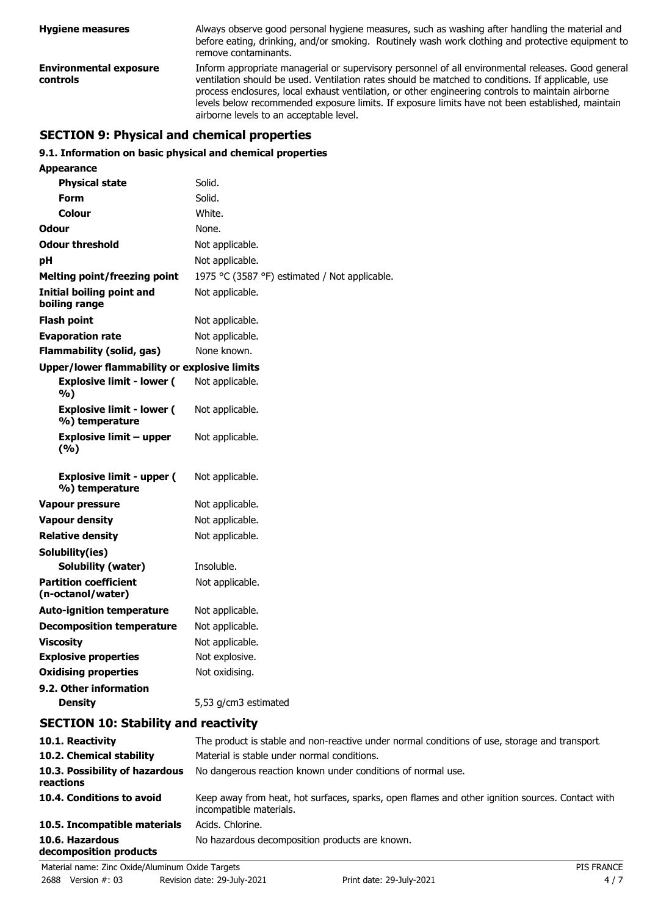| <b>Hygiene measures</b>                   | Always observe good personal hygiene measures, such as washing after handling the material and<br>before eating, drinking, and/or smoking. Routinely wash work clothing and protective equipment to<br>remove contaminants.                                                                                                                                                                                                                                 |
|-------------------------------------------|-------------------------------------------------------------------------------------------------------------------------------------------------------------------------------------------------------------------------------------------------------------------------------------------------------------------------------------------------------------------------------------------------------------------------------------------------------------|
| <b>Environmental exposure</b><br>controls | Inform appropriate managerial or supervisory personnel of all environmental releases. Good general<br>ventilation should be used. Ventilation rates should be matched to conditions. If applicable, use<br>process enclosures, local exhaust ventilation, or other engineering controls to maintain airborne<br>levels below recommended exposure limits. If exposure limits have not been established, maintain<br>airborne levels to an acceptable level. |

# **SECTION 9: Physical and chemical properties**

# **9.1. Information on basic physical and chemical properties**

| Appearance                                          |                                               |
|-----------------------------------------------------|-----------------------------------------------|
| <b>Physical state</b>                               | Solid.                                        |
| Form                                                | Solid.                                        |
| Colour                                              | White.                                        |
| Odour                                               | None.                                         |
| <b>Odour threshold</b>                              | Not applicable.                               |
| рH                                                  | Not applicable.                               |
| <b>Melting point/freezing point</b>                 | 1975 °C (3587 °F) estimated / Not applicable. |
| <b>Initial boiling point and</b><br>boiling range   | Not applicable.                               |
| <b>Flash point</b>                                  | Not applicable.                               |
| <b>Evaporation rate</b>                             | Not applicable.                               |
| <b>Flammability (solid, gas)</b>                    | None known.                                   |
| <b>Upper/lower flammability or explosive limits</b> |                                               |
| <b>Explosive limit - lower (</b><br>%)              | Not applicable.                               |
| <b>Explosive limit - lower (</b><br>%) temperature  | Not applicable.                               |
| <b>Explosive limit - upper</b><br>(%)               | Not applicable.                               |
| <b>Explosive limit - upper (</b><br>%) temperature  | Not applicable.                               |
| <b>Vapour pressure</b>                              | Not applicable.                               |
| <b>Vapour density</b>                               | Not applicable.                               |
| <b>Relative density</b>                             | Not applicable.                               |
| Solubility(ies)                                     |                                               |
| Solubility (water)                                  | Insoluble.                                    |
| <b>Partition coefficient</b><br>(n-octanol/water)   | Not applicable.                               |
| <b>Auto-ignition temperature</b>                    | Not applicable.                               |
| <b>Decomposition temperature</b>                    | Not applicable.                               |
| <b>Viscosity</b>                                    | Not applicable.                               |
| <b>Explosive properties</b>                         | Not explosive.                                |
| <b>Oxidising properties</b>                         | Not oxidising.                                |
| 9.2. Other information                              |                                               |
| <b>Density</b>                                      | 5,53 g/cm3 estimated                          |

# **SECTION 10: Stability and reactivity**

| 10.1. Reactivity                            | The product is stable and non-reactive under normal conditions of use, storage and transport.                              |  |
|---------------------------------------------|----------------------------------------------------------------------------------------------------------------------------|--|
| 10.2. Chemical stability                    | Material is stable under normal conditions.                                                                                |  |
| 10.3. Possibility of hazardous<br>reactions | No dangerous reaction known under conditions of normal use.                                                                |  |
| 10.4. Conditions to avoid                   | Keep away from heat, hot surfaces, sparks, open flames and other ignition sources. Contact with<br>incompatible materials. |  |
| 10.5. Incompatible materials                | Acids. Chlorine.                                                                                                           |  |
| 10.6. Hazardous<br>decomposition products   | No hazardous decomposition products are known.                                                                             |  |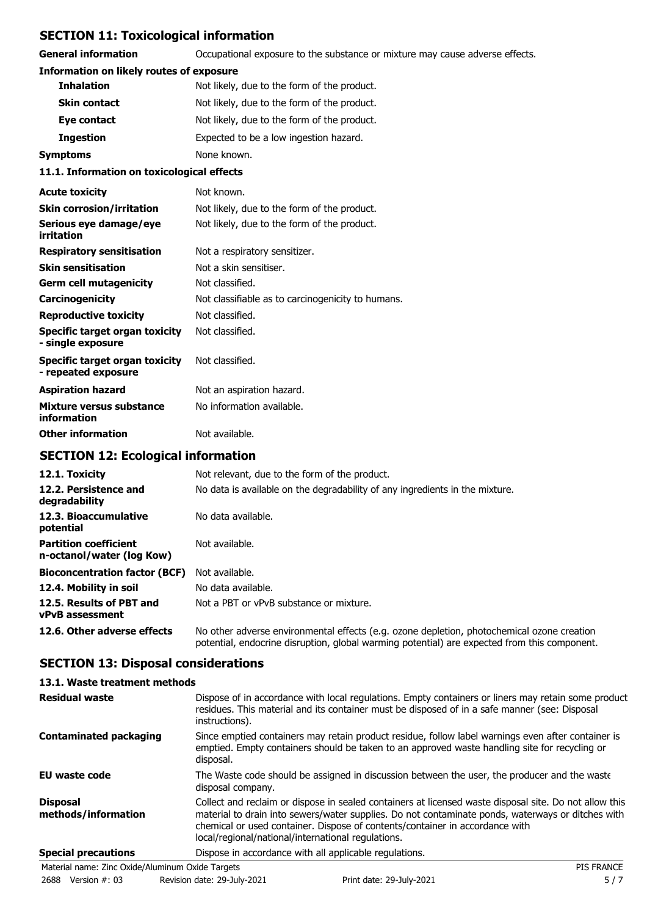# **SECTION 11: Toxicological information**

**General information CCCUPATION** Occupational exposure to the substance or mixture may cause adverse effects.

## **Information on likely routes of exposure**

| <b>Inhalation</b>   | Not likely, due to the form of the product. |
|---------------------|---------------------------------------------|
| <b>Skin contact</b> | Not likely, due to the form of the product. |
| Eye contact         | Not likely, due to the form of the product. |
| <b>Ingestion</b>    | Expected to be a low ingestion hazard.      |
| Symptoms            | None known.                                 |

#### **11.1. Information on toxicological effects**

| <b>Acute toxicity</b>                                 | Not known.                                        |
|-------------------------------------------------------|---------------------------------------------------|
| <b>Skin corrosion/irritation</b>                      | Not likely, due to the form of the product.       |
| Serious eye damage/eye<br>irritation                  | Not likely, due to the form of the product.       |
| <b>Respiratory sensitisation</b>                      | Not a respiratory sensitizer.                     |
| <b>Skin sensitisation</b>                             | Not a skin sensitiser.                            |
| <b>Germ cell mutagenicity</b>                         | Not classified.                                   |
| Carcinogenicity                                       | Not classifiable as to carcinogenicity to humans. |
| <b>Reproductive toxicity</b>                          | Not classified.                                   |
| Specific target organ toxicity<br>- single exposure   | Not classified.                                   |
| Specific target organ toxicity<br>- repeated exposure | Not classified.                                   |
| <b>Aspiration hazard</b>                              | Not an aspiration hazard.                         |
| Mixture versus substance<br>information               | No information available.                         |
| <b>Other information</b>                              | Not available.                                    |

# **SECTION 12: Ecological information**

| 12.1. Toxicity                                            | Not relevant, due to the form of the product.                                                                                                                                              |  |
|-----------------------------------------------------------|--------------------------------------------------------------------------------------------------------------------------------------------------------------------------------------------|--|
| 12.2. Persistence and<br>degradability                    | No data is available on the degradability of any ingredients in the mixture.                                                                                                               |  |
| 12.3. Bioaccumulative<br>potential                        | No data available.                                                                                                                                                                         |  |
| <b>Partition coefficient</b><br>n-octanol/water (log Kow) | Not available.                                                                                                                                                                             |  |
| <b>Bioconcentration factor (BCF)</b>                      | Not available.                                                                                                                                                                             |  |
| 12.4. Mobility in soil                                    | No data available.                                                                                                                                                                         |  |
| 12.5. Results of PBT and<br>vPvB assessment               | Not a PBT or vPvB substance or mixture.                                                                                                                                                    |  |
| 12.6. Other adverse effects                               | No other adverse environmental effects (e.g. ozone depletion, photochemical ozone creation<br>potential, endocrine disruption, global warming potential) are expected from this component. |  |

# **SECTION 13: Disposal considerations**

| 13.1. Waste treatment methods          |                                                                                                                                                                                                                                                                                                                                                   |
|----------------------------------------|---------------------------------------------------------------------------------------------------------------------------------------------------------------------------------------------------------------------------------------------------------------------------------------------------------------------------------------------------|
| <b>Residual waste</b>                  | Dispose of in accordance with local regulations. Empty containers or liners may retain some product<br>residues. This material and its container must be disposed of in a safe manner (see: Disposal<br>instructions).                                                                                                                            |
| <b>Contaminated packaging</b>          | Since emptied containers may retain product residue, follow label warnings even after container is<br>emptied. Empty containers should be taken to an approved waste handling site for recycling or<br>disposal.                                                                                                                                  |
| EU waste code                          | The Waste code should be assigned in discussion between the user, the producer and the waste<br>disposal company.                                                                                                                                                                                                                                 |
| <b>Disposal</b><br>methods/information | Collect and reclaim or dispose in sealed containers at licensed waste disposal site. Do not allow this<br>material to drain into sewers/water supplies. Do not contaminate ponds, waterways or ditches with<br>chemical or used container. Dispose of contents/container in accordance with<br>local/regional/national/international regulations. |
| <b>Special precautions</b>             | Dispose in accordance with all applicable regulations.                                                                                                                                                                                                                                                                                            |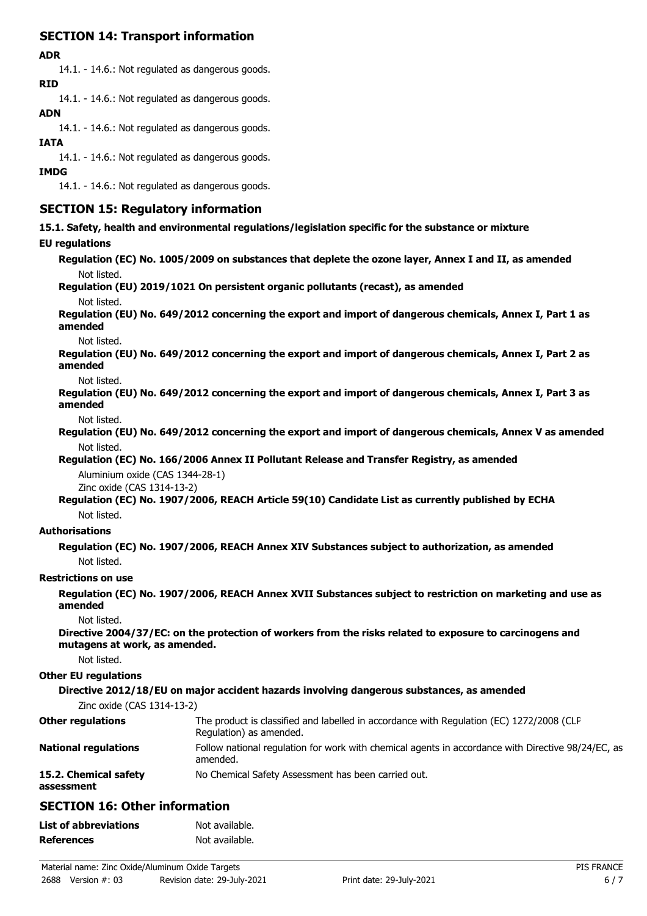# **SECTION 14: Transport information**

#### **ADR**

14.1. - 14.6.: Not regulated as dangerous goods.

**RID**

14.1. - 14.6.: Not regulated as dangerous goods.

#### **ADN**

14.1. - 14.6.: Not regulated as dangerous goods.

#### **IATA**

14.1. - 14.6.: Not regulated as dangerous goods.

### **IMDG**

14.1. - 14.6.: Not regulated as dangerous goods.

# **SECTION 15: Regulatory information**

**15.1. Safety, health and environmental regulations/legislation specific for the substance or mixture**

## **EU regulations**

**Regulation (EC) No. 1005/2009 on substances that deplete the ozone layer, Annex I and II, as amended** Not listed.

**Regulation (EU) 2019/1021 On persistent organic pollutants (recast), as amended**

## Not listed.

**Regulation (EU) No. 649/2012 concerning the export and import of dangerous chemicals, Annex I, Part 1 as amended**

#### Not listed.

**Regulation (EU) No. 649/2012 concerning the export and import of dangerous chemicals, Annex I, Part 2 as amended**

Not listed.

**Regulation (EU) No. 649/2012 concerning the export and import of dangerous chemicals, Annex I, Part 3 as amended**

Not listed.

**Regulation (EU) No. 649/2012 concerning the export and import of dangerous chemicals, Annex V as amended** Not listed.

## **Regulation (EC) No. 166/2006 Annex II Pollutant Release and Transfer Registry, as amended**

Aluminium oxide (CAS 1344-28-1) Zinc oxide (CAS 1314-13-2)

**Regulation (EC) No. 1907/2006, REACH Article 59(10) Candidate List as currently published by ECHA** Not listed.

**Authorisations**

**Regulation (EC) No. 1907/2006, REACH Annex XIV Substances subject to authorization, as amended** Not listed.

#### **Restrictions on use**

**Regulation (EC) No. 1907/2006, REACH Annex XVII Substances subject to restriction on marketing and use as amended**

Not listed.

**Directive 2004/37/EC: on the protection of workers from the risks related to exposure to carcinogens and mutagens at work, as amended.**

Not listed.

#### **Other EU regulations**

#### **Directive 2012/18/EU on major accident hazards involving dangerous substances, as amended**

Zinc oxide (CAS 1314-13-2)

| <b>Other regulations</b>            | The product is classified and labelled in accordance with Regulation (EC) 1272/2008 (CLP<br>Regulation) as amended. |
|-------------------------------------|---------------------------------------------------------------------------------------------------------------------|
| <b>National regulations</b>         | Follow national regulation for work with chemical agents in accordance with Directive 98/24/EC, as<br>amended.      |
| 15.2. Chemical safety<br>assessment | No Chemical Safety Assessment has been carried out.                                                                 |

# **SECTION 16: Other information**

| <b>List of abbreviations</b> | Not available. |
|------------------------------|----------------|
| <b>References</b>            | Not available. |